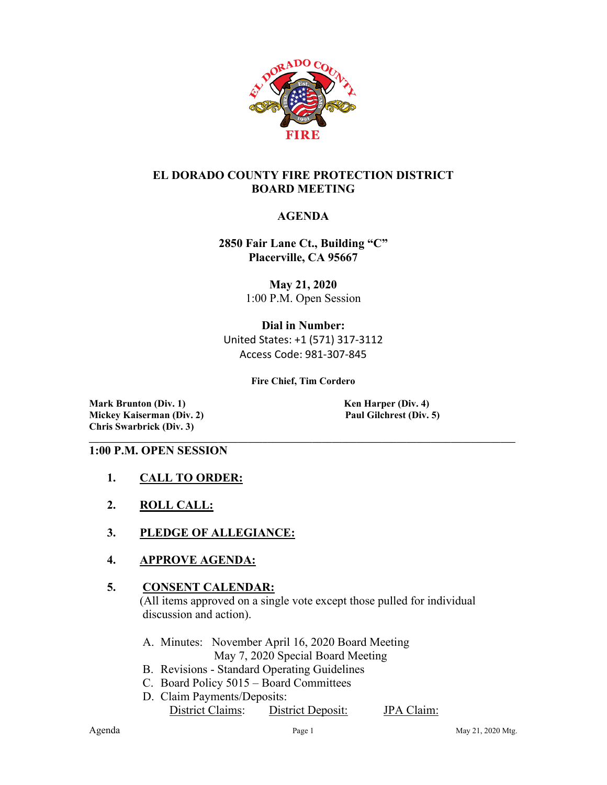

## **EL DORADO COUNTY FIRE PROTECTION DISTRICT BOARD MEETING**

## **AGENDA**

**2850 Fair Lane Ct., Building "C" Placerville, CA 95667**

> **May 21, 2020** 1:00 P.M. Open Session

**Dial in Number:** United States: +1 (571) 317-3112 Access Code: 981-307-845

**Fire Chief, Tim Cordero**

**Mark Brunton (Div. 1)**<br> **Mickey Kaiserman (Div. 2)**<br> **Paul Gilchrest (Div. 5) Mickey Kaiserman** (Div. 2) **Chris Swarbrick (Div. 3)**

#### **\_\_\_\_\_\_\_\_\_\_\_\_\_\_\_\_\_\_\_\_\_\_\_\_\_\_\_\_\_\_\_\_\_\_\_\_\_\_\_\_\_\_\_\_\_\_\_\_\_\_\_\_\_\_\_\_\_\_\_\_\_\_\_\_\_\_\_\_\_\_\_\_\_\_\_\_\_\_\_\_\_\_\_\_\_\_ 1:00 P.M. OPEN SESSION**

- **1. CALL TO ORDER:**
- **2. ROLL CALL:**
- **3. PLEDGE OF ALLEGIANCE:**
- **4. APPROVE AGENDA:**

## **5. CONSENT CALENDAR:**

 (All items approved on a single vote except those pulled for individual discussion and action).

- A. Minutes: November April 16, 2020 Board Meeting May 7, 2020 Special Board Meeting
- B. Revisions Standard Operating Guidelines
- C. Board Policy 5015 Board Committees
- D. Claim Payments/Deposits:

District Claims: District Deposit: JPA Claim: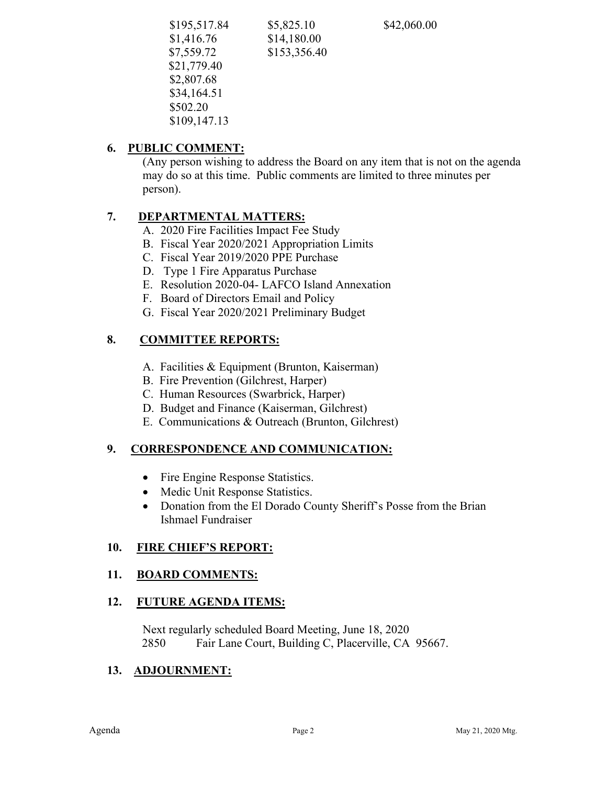| \$195,517.84 | \$5,825.10   | \$42,060.00 |  |
|--------------|--------------|-------------|--|
| \$1,416.76   | \$14,180.00  |             |  |
| \$7,559.72   | \$153,356.40 |             |  |
| \$21,779.40  |              |             |  |
| \$2,807.68   |              |             |  |
| \$34,164.51  |              |             |  |
| \$502.20     |              |             |  |
| \$109,147.13 |              |             |  |
|              |              |             |  |

# **6. PUBLIC COMMENT:**

(Any person wishing to address the Board on any item that is not on the agenda may do so at this time. Public comments are limited to three minutes per person).

# **7. DEPARTMENTAL MATTERS:**

A. 2020 Fire Facilities Impact Fee Study

- B. Fiscal Year 2020/2021 Appropriation Limits
- C. Fiscal Year 2019/2020 PPE Purchase
- D. Type 1 Fire Apparatus Purchase
- E. Resolution 2020-04- LAFCO Island Annexation
- F. Board of Directors Email and Policy
- G. Fiscal Year 2020/2021 Preliminary Budget

# **8. COMMITTEE REPORTS:**

- A. Facilities & Equipment (Brunton, Kaiserman)
- B. Fire Prevention (Gilchrest, Harper)
- C. Human Resources (Swarbrick, Harper)
- D. Budget and Finance (Kaiserman, Gilchrest)
- E. Communications & Outreach (Brunton, Gilchrest)

# **9. CORRESPONDENCE AND COMMUNICATION:**

- Fire Engine Response Statistics.
- Medic Unit Response Statistics.
- Donation from the El Dorado County Sheriff's Posse from the Brian Ishmael Fundraiser

# **10. FIRE CHIEF'S REPORT:**

# **11. BOARD COMMENTS:**

## **12. FUTURE AGENDA ITEMS:**

 Next regularly scheduled Board Meeting, June 18, 2020 2850 Fair Lane Court, Building C, Placerville, CA 95667.

# **13. ADJOURNMENT:**